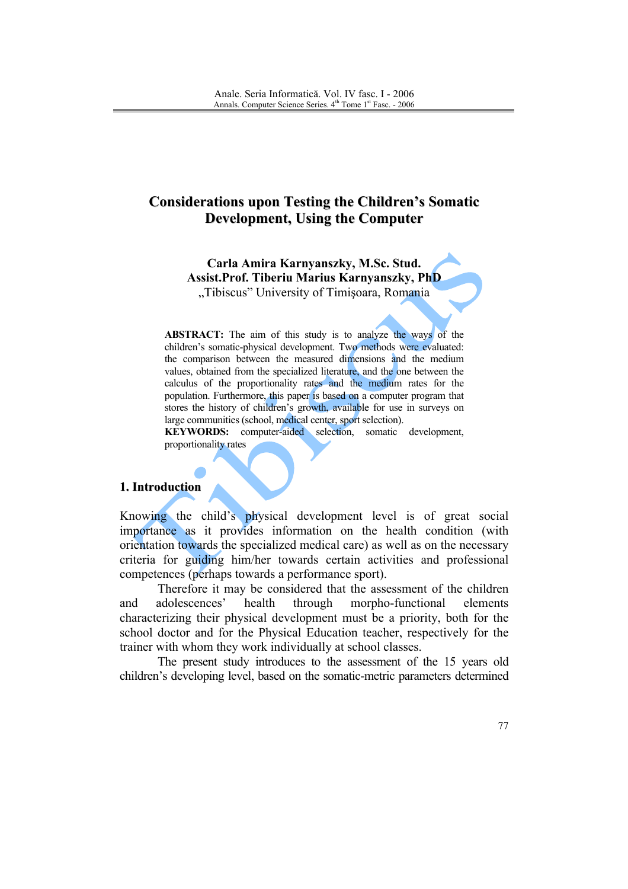# **Considerations upon Testing the Children's Somatic Development, Using the Computer**

Carla Amira Karnyanszky, M.Sc. Stud. **Assist.Prof. Tiberiu Marius Karnyanszky, PhD** "Tibiscus" University of Timișoara, Romania

**ABSTRACT:** The aim of this study is to analyze the ways of the children's somatic-physical development. Two methods were evaluated: the comparison between the measured dimensions and the medium values, obtained from the specialized literature, and the one between the calculus of the proportionality rates and the medium rates for the population. Furthermore, this paper is based on a computer program that stores the history of children's growth, available for use in surveys on large communities (school, medical center, sport selection).

KEYWORDS: computer-aided selection, somatic development, proportionality rates

#### 1. Introduction

Knowing the child's physical development level is of great social importance as it provides information on the health condition (with orientation towards the specialized medical care) as well as on the necessary criteria for guiding him/her towards certain activities and professional competences (perhaps towards a performance sport).

Therefore it may be considered that the assessment of the children adolescences' health through morpho-functional and elements characterizing their physical development must be a priority, both for the school doctor and for the Physical Education teacher, respectively for the trainer with whom they work individually at school classes.

The present study introduces to the assessment of the 15 years old children's developing level, based on the somatic-metric parameters determined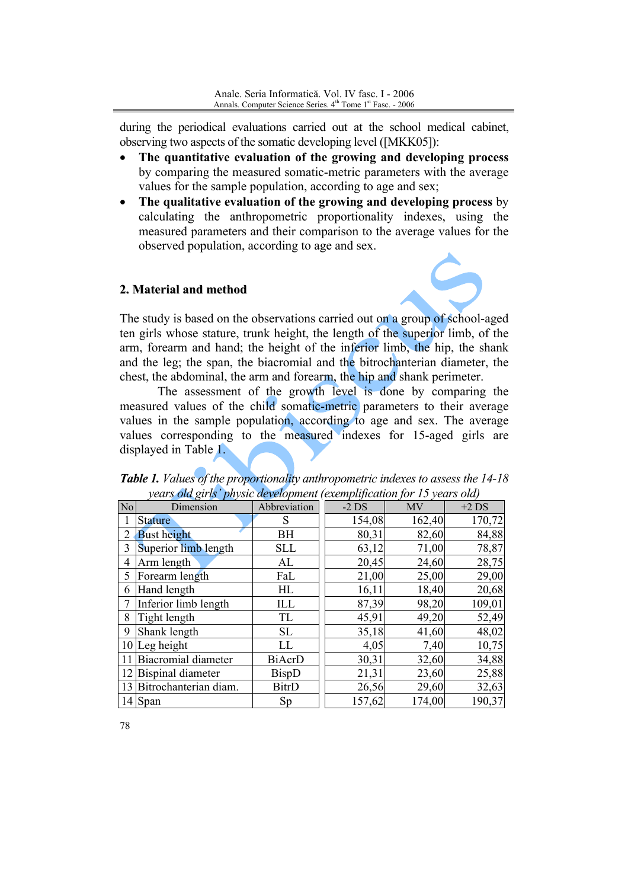during the periodical evaluations carried out at the school medical cabinet, observing two aspects of the somatic developing level ([MKK05]):

- The quantitative evaluation of the growing and developing process  $\bullet$ by comparing the measured somatic-metric parameters with the average values for the sample population, according to age and sex;
- The qualitative evaluation of the growing and developing process by  $\bullet$ calculating the anthropometric proportionality indexes, using the measured parameters and their comparison to the average values for the observed population, according to age and sex.

#### 2. Material and method



The study is based on the observations carried out on a group of school-aged ten girls whose stature, trunk height, the length of the superior limb, of the arm, forearm and hand; the height of the inferior limb, the hip, the shank and the leg; the span, the biacromial and the bitrochanterian diameter, the chest, the abdominal, the arm and forearm, the hip and shank perimeter.

The assessment of the growth level is done by comparing the measured values of the child somatic-metric parameters to their average values in the sample population, according to age and sex. The average values corresponding to the measured indexes for 15-aged girls are displayed in Table 1.

|                | years <b>o</b> ld girls -physic development (exemplification for 15 years old) |               |         |        |         |
|----------------|--------------------------------------------------------------------------------|---------------|---------|--------|---------|
| No             | Dimension                                                                      | Abbreviation  | $-2$ DS | MV     | $+2$ DS |
|                | <b>Stature</b>                                                                 | S             | 154,08  | 162,40 | 170,72  |
| $\overline{2}$ | <b>Bust height</b>                                                             | ВH            | 80,31   | 82,60  | 84,88   |
| 3              | Superior limb length                                                           | <b>SLL</b>    | 63,12   | 71,00  | 78,87   |
| 4              | Arm length                                                                     | AL            | 20,45   | 24,60  | 28,75   |
| 5              | Forearm length                                                                 | FaL           | 21,00   | 25,00  | 29,00   |
| 6              | Hand length                                                                    | HL            | 16,11   | 18,40  | 20,68   |
|                | Inferior limb length                                                           | ILL           | 87,39   | 98,20  | 109,01  |
| 8              | Tight length                                                                   | TL            | 45,91   | 49,20  | 52,49   |
| 9              | Shank length                                                                   | SL            | 35,18   | 41,60  | 48,02   |
|                | $10$ Leg height                                                                | LL            | 4,05    | 7,40   | 10,75   |
|                | 11 Biacromial diameter                                                         | <b>BiAcrD</b> | 30,31   | 32,60  | 34,88   |
|                | 12 Bispinal diameter                                                           | BispD         | 21,31   | 23,60  | 25,88   |
|                | 13 Bitrochanterian diam.                                                       | <b>BitrD</b>  | 26,56   | 29,60  | 32,63   |
|                | $14$ Span                                                                      | Sp            | 157,62  | 174,00 | 190,37  |

Table 1. Values of the proportionality anthropometric indexes to assess the 14-18  $l_1$ .  $l_2$   $l_3$   $l_4$   $l_5$   $l_6$   $l_7$   $l_8$   $l_9$  $\overline{1}$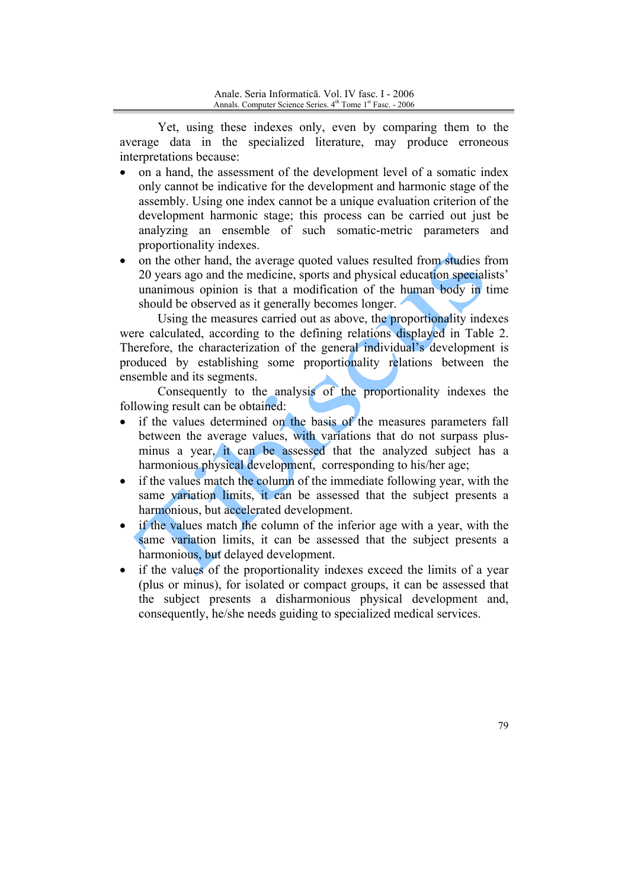Yet, using these indexes only, even by comparing them to the average data in the specialized literature, may produce erroneous interpretations because:

- on a hand, the assessment of the development level of a somatic index  $\bullet$ only cannot be indicative for the development and harmonic stage of the assembly. Using one index cannot be a unique evaluation criterion of the development harmonic stage: this process can be carried out just be analyzing an ensemble of such somatic-metric parameters and proportionality indexes.
- on the other hand, the average quoted values resulted from studies from 20 years ago and the medicine, sports and physical education specialists' unanimous opinion is that a modification of the human body in time should be observed as it generally becomes longer.

Using the measures carried out as above, the proportionality indexes were calculated, according to the defining relations displayed in Table 2. Therefore, the characterization of the general individual's development is produced by establishing some proportionality relations between the ensemble and its segments.

Consequently to the analysis of the proportionality indexes the following result can be obtained:

- if the values determined on the basis of the measures parameters fall  $\bullet$ between the average values, with variations that do not surpass plusminus a year, it can be assessed that the analyzed subject has a harmonious physical development, corresponding to his/her age;
- if the values match the column of the immediate following year, with the same variation limits, it can be assessed that the subject presents a harmonious, but accelerated development.
- if the values match the column of the inferior age with a year, with the same variation limits, it can be assessed that the subject presents a harmonious, but delayed development.
- if the values of the proportionality indexes exceed the limits of a year  $\bullet$ (plus or minus), for isolated or compact groups, it can be assessed that the subject presents a disharmonious physical development and, consequently, he/she needs guiding to specialized medical services.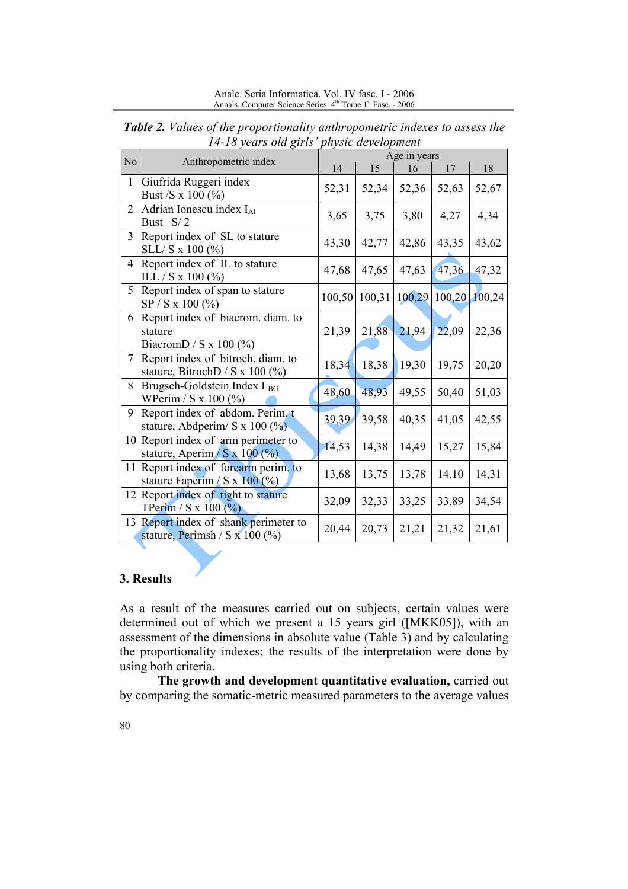Anale. Seria Informatică. Vol. IV fasc. I - 2006 Annals. Computer Science Series. 4<sup>th</sup> Tome 1<sup>st</sup> Fasc. - 2006

| N <sub>o</sub> | Anthropometric index                                                               | Age in years |       |               |        |        |  |  |
|----------------|------------------------------------------------------------------------------------|--------------|-------|---------------|--------|--------|--|--|
|                |                                                                                    | 14           | 15    | 16            | 17     | 18     |  |  |
| $\mathbf{1}$   | Giufrida Ruggeri index<br>Bust /S x 100 (%)                                        | 52,31        | 52,34 | 52,36         | 52,63  | 52,67  |  |  |
| $\overline{2}$ | Adrian Ionescu index $I_{AI}$<br>Bust $-S/2$                                       | 3,65         | 3,75  | 3,80          | 4,27   | 4,34   |  |  |
| 3              | Report index of SL to stature<br>SLL/S x 100 (%)                                   | 43,30        | 42,77 | 42,86         | 43,35  | 43,62  |  |  |
| $\overline{4}$ | Report index of IL to stature<br>ILL / S x 100 $(\% )$                             | 47,68        | 47,65 | 47,63         | 47,36  | 47,32  |  |  |
| 5              | Report index of span to stature<br>SP / S x 100 (%)                                | 100,50       |       | 100,31 100,29 | 100,20 | 100,24 |  |  |
| 6              | Report index of biacrom. diam. to<br>stature<br>BiacromD / S x 100 $(\%)$          | 21,39        | 21,88 | 21,94         | 22,09  | 22,36  |  |  |
| $\overline{7}$ | Report index of bitroch. diam. to<br>stature, BitrochD / S x 100 $(\%)$            | 18,34        | 18,38 | 19,30         | 19,75  | 20,20  |  |  |
| 8              | Brugsch-Goldstein Index I BG<br>WPerim / S x 100 (%)                               | 48,60        | 48,93 | 49,55         | 50,40  | 51,03  |  |  |
| 9              | Report index of abdom. Perim. t<br>stature, Abdperim/ S x 100 $(\frac{\%}{\%})$    | 39,39        | 39,58 | 40,35         | 41,05  | 42,55  |  |  |
|                | 10 Report index of arm perimeter to<br>stature, Aperim / $S \times 100$ (%)        | 14,53        | 14,38 | 14,49         | 15,27  | 15,84  |  |  |
|                | 11 Report index of forearm perim. to<br>stature Faperim / S x $100$ (%)            | 13,68        | 13,75 | 13,78         | 14,10  | 14,31  |  |  |
|                | 12 Report index of tight to stature<br>TPerim / S x 100 $\left(\frac{9}{0}\right)$ | 32,09        | 32,33 | 33,25         | 33,89  | 34,54  |  |  |
|                | 13 Report index of shank perimeter to<br>stature, Perimsh / S x 100 $(\%$ )        | 20,44        | 20,73 | 21,21         | 21,32  | 21,61  |  |  |

Table 2. Values of the proportionality anthropometric indexes to assess the 14-18 years old girls' physic development

## 3. Results

As a result of the measures carried out on subjects, certain values were determined out of which we present a 15 years girl ([MKK05]), with an assessment of the dimensions in absolute value (Table 3) and by calculating the proportionality indexes; the results of the interpretation were done by using both criteria.

The growth and development quantitative evaluation, carried out by comparing the somatic-metric measured parameters to the average values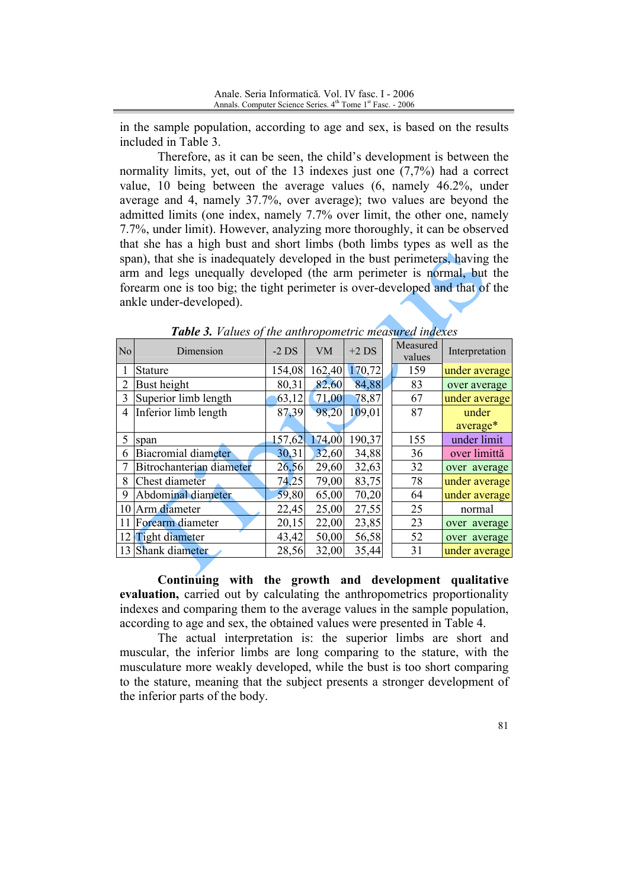in the sample population, according to age and sex, is based on the results included in Table 3.

Therefore, as it can be seen, the child's development is between the normality limits, yet, out of the 13 indexes just one  $(7,7%)$  had a correct value, 10 being between the average values  $(6,$  namely  $46.2\%$ , under average and 4, namely 37.7%, over average); two values are beyond the admitted limits (one index, namely 7.7% over limit, the other one, namely 7.7%, under limit). However, analyzing more thoroughly, it can be observed that she has a high bust and short limbs (both limbs types as well as the span), that she is inadequately developed in the bust perimeters, having the arm and legs unequally developed (the arm perimeter is normal, but the forearm one is too big; the tight perimeter is over-developed and that of the ankle under-developed).

| N <sub>o</sub> | Dimension                | $-2$ DS | <b>VM</b> | $+2$ DS | Measured<br>values | Interpretation |
|----------------|--------------------------|---------|-----------|---------|--------------------|----------------|
|                | <b>Stature</b>           | 154,08  | 162,40    | 170,72  | 159                | under average  |
| $\overline{2}$ | Bust height              | 80,31   | 82,60     | 84,88   | 83                 | over average   |
| 3              | Superior limb length     | 63,12   | 71,00     | 78,87   | 67                 | under average  |
| 4              | Inferior limb length     | 87,39   | 98,20     | 109,01  | 87                 | under          |
|                |                          |         |           |         |                    | average*       |
| 5              | span                     | 157,62  | 174,00    | 190,37  | 155                | under limit    |
| 6              | Biacromial diameter      | 30,31   | 32,60     | 34,88   | 36                 | over limittă   |
|                | Bitrochanterian diameter | 26,56   | 29,60     | 32,63   | 32                 | over average   |
| 8              | Chest diameter           | 74,25   | 79,00     | 83,75   | 78                 | under average  |
| 9              | Abdominal diameter       | 59,80   | 65,00     | 70,20   | 64                 | under average  |
| 10             | Arm diameter             | 22,45   | 25,00     | 27,55   | 25                 | normal         |
| 11             | Forearm diameter         | 20,15   | 22,00     | 23,85   | 23                 | over average   |
| 12             | <b>Tight diameter</b>    | 43,42   | 50,00     | 56,58   | 52                 | over average   |
| 13             | Shank diameter           | 28,56   | 32,00     | 35,44   | 31                 | under average  |

Table 3. Values of the anthropometric measured indexes

Continuing with the growth and development qualitative evaluation, carried out by calculating the anthropometrics proportionality indexes and comparing them to the average values in the sample population. according to age and sex, the obtained values were presented in Table 4.

The actual interpretation is: the superior limbs are short and muscular, the inferior limbs are long comparing to the stature, with the musculature more weakly developed, while the bust is too short comparing to the stature, meaning that the subject presents a stronger development of the inferior parts of the body.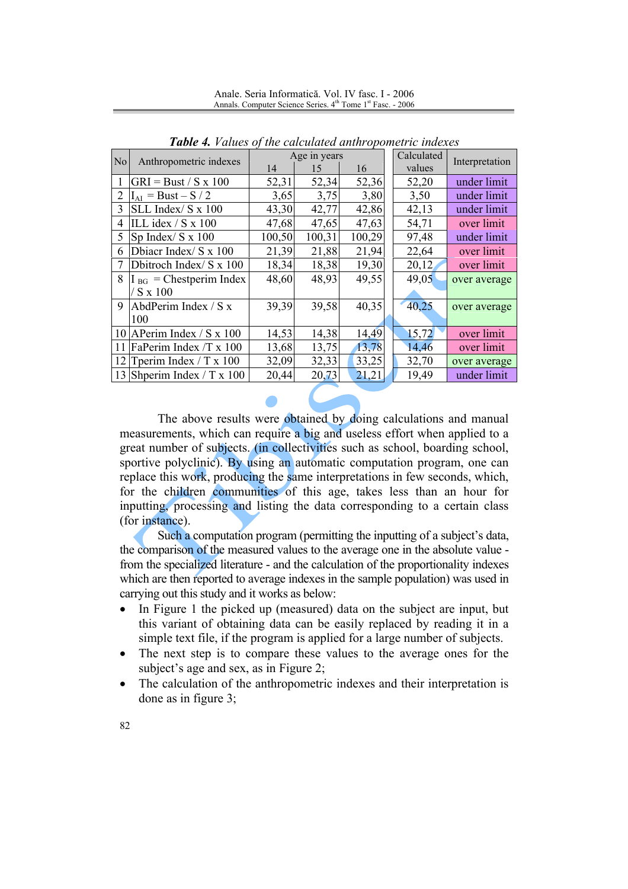**Table 4.** Values of the calculated anthropometric indexes Calculated Age in years N<sub>o</sub> Anthropometric indexes Interpretation 14 values 15 16  $GRI = Bust / S x 100$ 52,34 52.36 52.20  $\mathbf{1}$ 52.31 under limit  $2 \overline{I_{AI}} = \overline{Bust - S / 2}$  $3,75$ 3,80 3,50 under limit 3.65  $3$  SLL Index/ S x 100 under limit 43.30 42.77 42.86 42.13  $\overline{47,68}$  $\overline{47,65}$ 4 ILL idex / S x  $100$ 47,63 54,71 over limit 5 Sp Index/ S  $\overline{x}$  100 100,50 100,31 100,29 97.48 under limit 6 Dbiacr Index/ S x 100 21,39 21,94 22,64 over limit 21,88 7 Dbitroch Index/ S x 100 18,34 18,38 19,30 20,12 over limit 49,05  $I<sub>BG</sub> =$ Chestperim Index 48,60 48,93 49,55 over average 8  $/Sx100$ AbdPerim Index / S x 40,25 9 39,39 39,58 40,35 over average 100 10 APerim Index / S x 100 14,53 14,38 14,49 15.72 over limit 13,68 11 FaPerim Index /T x 100 13,75 13,78 14,46 over limit 32,33 32,70 12 Tperim Index / T x 100 32,09 33,25 over average 13 Shperim Index / T x 100 20,44 19,49 under limit 20,73 21,21

Anale. Seria Informatică. Vol. IV fasc. I - 2006 Annals. Computer Science Series. 4th Tome 1st Fasc. - 2006

The above results were obtained by doing calculations and manual measurements, which can require a big and useless effort when applied to a great number of subjects. (in collectivities such as school, boarding school, sportive polyclinic). By using an automatic computation program, one can replace this work, producing the same interpretations in few seconds, which, for the children communities of this age, takes less than an hour for inputting, processing and listing the data corresponding to a certain class (for instance).

Such a computation program (permitting the inputting of a subject's data, the comparison of the measured values to the average one in the absolute value from the specialized literature - and the calculation of the proportionality indexes which are then reported to average indexes in the sample population) was used in carrying out this study and it works as below:

- In Figure 1 the picked up (measured) data on the subject are input, but  $\bullet$ this variant of obtaining data can be easily replaced by reading it in a simple text file, if the program is applied for a large number of subjects.
- The next step is to compare these values to the average ones for the  $\bullet$ subject's age and sex, as in Figure 2;
- The calculation of the anthropometric indexes and their interpretation is done as in figure  $3$ ;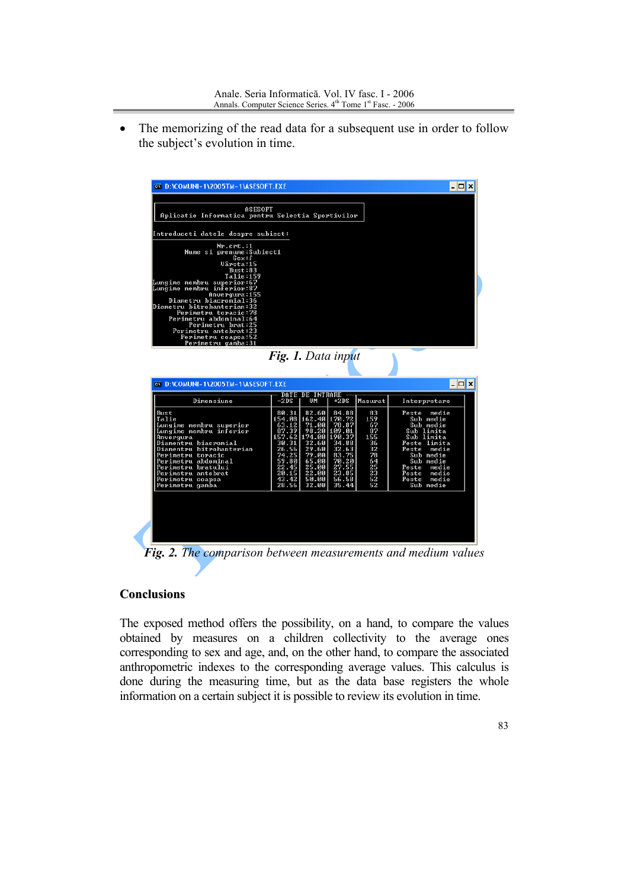The memorizing of the read data for a subsequent use in order to follow  $\bullet$ the subject's evolution in time.

|                                                                                                                                                                                                                                                                                                |                    |                              |                 |          | - 0 x                              |
|------------------------------------------------------------------------------------------------------------------------------------------------------------------------------------------------------------------------------------------------------------------------------------------------|--------------------|------------------------------|-----------------|----------|------------------------------------|
| ASESOFT<br>Aplicatie Informatica pentru Selectia Sportivilor                                                                                                                                                                                                                                   |                    |                              |                 |          |                                    |
| Introduceti datele despre subiect:                                                                                                                                                                                                                                                             |                    |                              |                 |          |                                    |
| Nr.crt.:1<br>Nume si prenume: Subiect1                                                                                                                                                                                                                                                         |                    |                              |                 |          |                                    |
| Sex: f                                                                                                                                                                                                                                                                                         |                    |                              |                 |          |                                    |
| Uârsta:15<br>Bust:83                                                                                                                                                                                                                                                                           |                    |                              |                 |          |                                    |
| Talie:159<br>Lungime membru superior:67                                                                                                                                                                                                                                                        |                    |                              |                 |          |                                    |
| Lungime membru inferior:87                                                                                                                                                                                                                                                                     |                    |                              |                 |          |                                    |
| Anvergura:155<br>Diametru biacromial:36                                                                                                                                                                                                                                                        |                    |                              |                 |          |                                    |
| Diametru bitrohanterian:32                                                                                                                                                                                                                                                                     |                    |                              |                 |          |                                    |
| Perimetru toracic:78<br>Perimetru abdominal:64                                                                                                                                                                                                                                                 |                    |                              |                 |          |                                    |
| Perimetru brat:25                                                                                                                                                                                                                                                                              |                    |                              |                 |          |                                    |
| Perimetru antebrat:23<br>Perimetru coapsa:52                                                                                                                                                                                                                                                   |                    |                              |                 |          |                                    |
|                                                                                                                                                                                                                                                                                                |                    |                              |                 |          |                                    |
| Perimetru gamba:31                                                                                                                                                                                                                                                                             |                    |                              |                 |          |                                    |
|                                                                                                                                                                                                                                                                                                |                    |                              |                 |          |                                    |
|                                                                                                                                                                                                                                                                                                | Fig. 1. Data input |                              |                 |          |                                    |
|                                                                                                                                                                                                                                                                                                |                    |                              |                 |          |                                    |
|                                                                                                                                                                                                                                                                                                |                    |                              |                 |          |                                    |
| Dimensiune                                                                                                                                                                                                                                                                                     | $-2DS$             | <b>DATE DE INTRARE</b><br>UM | $+2DS$          | Masurat  | Interpretare                       |
|                                                                                                                                                                                                                                                                                                | 80.31              |                              | 84.88           | 83       | Peste<br>medie                     |
|                                                                                                                                                                                                                                                                                                | 154.08             | 82.60<br>162.40 170.72       |                 | 159      | Sub medie                          |
|                                                                                                                                                                                                                                                                                                | 63.12<br>87.39     | 71.00<br>98.20               | 78.87<br>109.01 | 67<br>87 | Sub medie<br>Sub limita            |
|                                                                                                                                                                                                                                                                                                | 157.62             | 174.00                       | 190.37          | 155      | Sub limita                         |
|                                                                                                                                                                                                                                                                                                | 30.31<br>26.56     | 32.60<br>29.60               | 34.88<br>32.63  | 36<br>32 | Peste limita<br>Peste<br>medie     |
|                                                                                                                                                                                                                                                                                                | 74.25              |                              | 83.75           | 78       | Sub medie                          |
|                                                                                                                                                                                                                                                                                                | 59.80              | 79.00<br>65.00               | 70.20           | 64       | Sub medie                          |
|                                                                                                                                                                                                                                                                                                | 22.45<br>20.15     | $\frac{25.00}{22.00}$        | 27.55<br>23.85  | 25<br>23 | Peste<br>medie<br>Peste<br>medie   |
| <b>ex D:\COMUNI~1\2005TM~1\ASESOFT.EXE</b><br>Bust<br>Talie<br>Lungime membru superior<br>Lungime membru inferior<br>Anvergura<br>Diamentru biacromial<br>Diamentru bitrohanterian<br>Perimetru toracic<br>Perimetru abdominal<br>Perimetru bratului<br>Perimetru antebrat<br>Perimetru coapsa | 43.42              | 50.00                        | 56.58           | 52       | $ \Box$ $\times$<br>medie<br>Peste |
| Perimetru gamba                                                                                                                                                                                                                                                                                | 28.56              | 32.00                        | 35.44           | 52       | Sub medie                          |
|                                                                                                                                                                                                                                                                                                |                    |                              |                 |          |                                    |
|                                                                                                                                                                                                                                                                                                |                    |                              |                 |          |                                    |
|                                                                                                                                                                                                                                                                                                |                    |                              |                 |          |                                    |
|                                                                                                                                                                                                                                                                                                |                    |                              |                 |          |                                    |

Fig. 2. The comparison between measurements and medium values

## **Conclusions**

The exposed method offers the possibility, on a hand, to compare the values obtained by measures on a children collectivity to the average ones corresponding to sex and age, and, on the other hand, to compare the associated anthropometric indexes to the corresponding average values. This calculus is done during the measuring time, but as the data base registers the whole information on a certain subject it is possible to review its evolution in time.